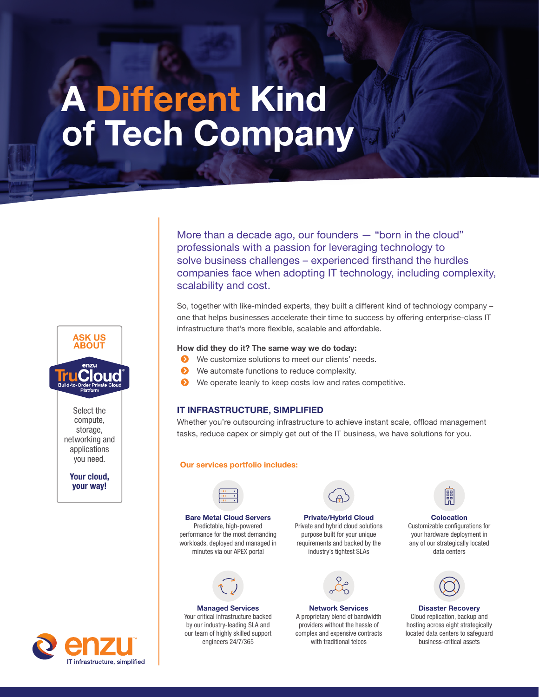# A Different Kind of Tech Company

More than a decade ago, our founders — "born in the cloud" professionals with a passion for leveraging technology to solve business challenges – experienced firsthand the hurdles companies face when adopting IT technology, including complexity, scalability and cost.

So, together with like-minded experts, they built a different kind of technology company – one that helps businesses accelerate their time to success by offering enterprise-class IT infrastructure that's more flexible, scalable and affordable.

### How did they do it? The same way we do today:

- S We customize solutions to meet our clients' needs.
- **EXECUTE:** We automate functions to reduce complexity.
- **EX** We operate leanly to keep costs low and rates competitive.

### IT INFRASTRUCTURE, SIMPLIFIED

Whether you're outsourcing infrastructure to achieve instant scale, offload management tasks, reduce capex or simply get out of the IT business, we have solutions for you.

### Our services portfolio includes:



Bare Metal Cloud Servers Predictable, high-powered performance for the most demanding workloads, deployed and managed in minutes via our APEX portal



Managed Services Your critical infrastructure backed by our industry-leading SLA and our team of highly skilled support engineers 24/7/365



Private/Hybrid Cloud Private and hybrid cloud solutions

purpose built for your unique requirements and backed by the industry's tightest SLAs



Network Services A proprietary blend of bandwidth providers without the hassle of complex and expensive contracts with traditional telcos

**Colocation** Customizable configurations for your hardware deployment in any of our strategically located data centers



Disaster Recovery Cloud replication, backup and hosting across eight strategically located data centers to safeguard business-critical assets



ASK US